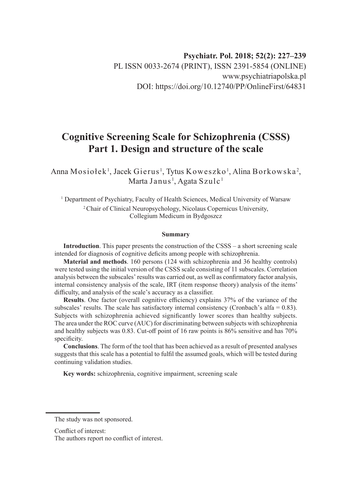# **Cognitive Screening Scale for Schizophrenia (CSSS) Part 1. Design and structure of the scale**

Anna Mosiołek<sup>1</sup>, Jacek Gierus<sup>1</sup>, Tytus Koweszko<sup>1</sup>, Alina Borkowska<sup>2</sup>, Marta Janus <sup>1</sup>, Agata Szulc <sup>1</sup>

<sup>1</sup> Department of Psychiatry, Faculty of Health Sciences, Medical University of Warsaw <sup>2</sup>Chair of Clinical Neuropsychology, Nicolaus Copernicus University, Collegium Medicum in Bydgoszcz

#### **Summary**

**Introduction**. This paper presents the construction of the CSSS – a short screening scale intended for diagnosis of cognitive deficits among people with schizophrenia.

**Material and methods**. 160 persons (124 with schizophrenia and 36 healthy controls) were tested using the initial version of the CSSS scale consisting of 11 subscales. Correlation analysis between the subscales' results was carried out, as well as confirmatory factor analysis, internal consistency analysis of the scale, IRT (item response theory) analysis of the items' difficulty, and analysis of the scale's accuracy as a classifier.

**Results**. One factor (overall cognitive efficiency) explains 37% of the variance of the subscales' results. The scale has satisfactory internal consistency (Cronbach's alfa  $= 0.83$ ). Subjects with schizophrenia achieved significantly lower scores than healthy subjects. The area under the ROC curve (AUC) for discriminating between subjects with schizophrenia and healthy subjects was 0.83. Cut-off point of 16 raw points is 86% sensitive and has 70% specificity.

**Conclusions**. The form of the tool that has been achieved as a result of presented analyses suggests that this scale has a potential to fulfil the assumed goals, which will be tested during continuing validation studies.

**Key words:** schizophrenia, cognitive impairment, screening scale

The study was not sponsored.

Conflict of interest:

The authors report no conflict of interest.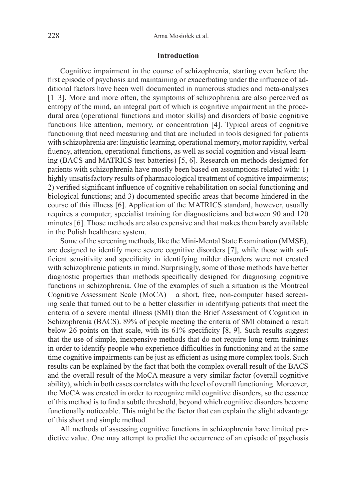#### **Introduction**

Cognitive impairment in the course of schizophrenia, starting even before the first episode of psychosis and maintaining or exacerbating under the influence of additional factors have been well documented in numerous studies and meta-analyses [1–3]. More and more often, the symptoms of schizophrenia are also perceived as entropy of the mind, an integral part of which is cognitive impairment in the procedural area (operational functions and motor skills) and disorders of basic cognitive functions like attention, memory, or concentration [4]. Typical areas of cognitive functioning that need measuring and that are included in tools designed for patients with schizophrenia are: linguistic learning, operational memory, motor rapidity, verbal fluency, attention, operational functions, as well as social cognition and visual learning (BACS and MATRICS test batteries) [5, 6]. Research on methods designed for patients with schizophrenia have mostly been based on assumptions related with: 1) highly unsatisfactory results of pharmacological treatment of cognitive impairments; 2) verified significant influence of cognitive rehabilitation on social functioning and biological functions; and 3) documented specific areas that become hindered in the course of this illness [6]. Application of the MATRICS standard, however, usually requires a computer, specialist training for diagnosticians and between 90 and 120 minutes [6]. Those methods are also expensive and that makes them barely available in the Polish healthcare system.

Some of the screening methods, like the Mini-Mental State Examination (MMSE), are designed to identify more severe cognitive disorders [7], while those with sufficient sensitivity and specificity in identifying milder disorders were not created with schizophrenic patients in mind. Surprisingly, some of those methods have better diagnostic properties than methods specifically designed for diagnosing cognitive functions in schizophrenia. One of the examples of such a situation is the Montreal Cognitive Assessment Scale (MoCA) – a short, free, non-computer based screening scale that turned out to be a better classifier in identifying patients that meet the criteria of a severe mental illness (SMI) than the Brief Assessment of Cognition in Schizophrenia (BACS). 89% of people meeting the criteria of SMI obtained a result below 26 points on that scale, with its 61% specificity [8, 9]. Such results suggest that the use of simple, inexpensive methods that do not require long-term trainings in order to identify people who experience difficulties in functioning and at the same time cognitive impairments can be just as efficient as using more complex tools. Such results can be explained by the fact that both the complex overall result of the BACS and the overall result of the MoCA measure a very similar factor (overall cognitive ability), which in both cases correlates with the level of overall functioning. Moreover, the MoCA was created in order to recognize mild cognitive disorders, so the essence of this method is to find a subtle threshold, beyond which cognitive disorders become functionally noticeable. This might be the factor that can explain the slight advantage of this short and simple method.

All methods of assessing cognitive functions in schizophrenia have limited predictive value. One may attempt to predict the occurrence of an episode of psychosis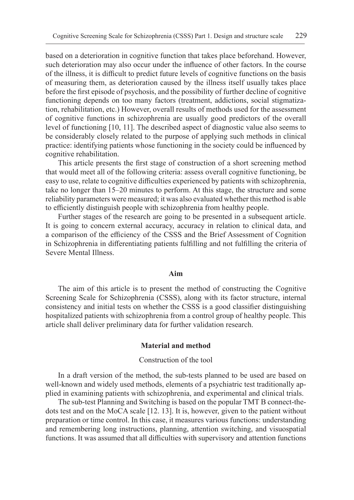based on a deterioration in cognitive function that takes place beforehand. However, such deterioration may also occur under the influence of other factors. In the course of the illness, it is difficult to predict future levels of cognitive functions on the basis of measuring them, as deterioration caused by the illness itself usually takes place before the first episode of psychosis, and the possibility of further decline of cognitive functioning depends on too many factors (treatment, addictions, social stigmatization, rehabilitation, etc.) However, overall results of methods used for the assessment of cognitive functions in schizophrenia are usually good predictors of the overall level of functioning [10, 11]. The described aspect of diagnostic value also seems to be considerably closely related to the purpose of applying such methods in clinical practice: identifying patients whose functioning in the society could be influenced by cognitive rehabilitation.

This article presents the first stage of construction of a short screening method that would meet all of the following criteria: assess overall cognitive functioning, be easy to use, relate to cognitive difficulties experienced by patients with schizophrenia, take no longer than 15–20 minutes to perform. At this stage, the structure and some reliability parameters were measured; it was also evaluated whether this method is able to efficiently distinguish people with schizophrenia from healthy people.

Further stages of the research are going to be presented in a subsequent article. It is going to concern external accuracy, accuracy in relation to clinical data, and a comparison of the efficiency of the CSSS and the Brief Assessment of Cognition in Schizophrenia in differentiating patients fulfilling and not fulfilling the criteria of Severe Mental Illness.

#### **Aim**

The aim of this article is to present the method of constructing the Cognitive Screening Scale for Schizophrenia (CSSS), along with its factor structure, internal consistency and initial tests on whether the CSSS is a good classifier distinguishing hospitalized patients with schizophrenia from a control group of healthy people. This article shall deliver preliminary data for further validation research.

## **Material and method**

## Construction of the tool

In a draft version of the method, the sub-tests planned to be used are based on well-known and widely used methods, elements of a psychiatric test traditionally applied in examining patients with schizophrenia, and experimental and clinical trials.

The sub-test Planning and Switching is based on the popular TMT B connect-thedots test and on the MoCA scale [12. 13]. It is, however, given to the patient without preparation or time control. In this case, it measures various functions: understanding and remembering long instructions, planning, attention switching, and visuospatial functions. It was assumed that all difficulties with supervisory and attention functions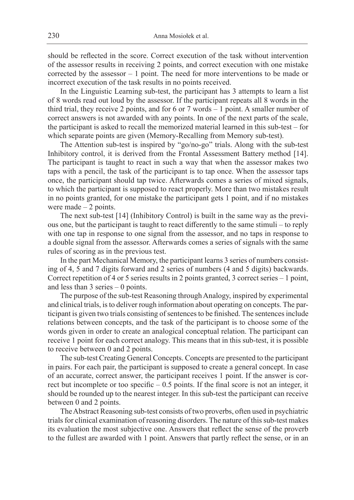should be reflected in the score. Correct execution of the task without intervention of the assessor results in receiving 2 points, and correct execution with one mistake corrected by the assessor – 1 point. The need for more interventions to be made or incorrect execution of the task results in no points received.

In the Linguistic Learning sub-test, the participant has 3 attempts to learn a list of 8 words read out loud by the assessor. If the participant repeats all 8 words in the third trial, they receive 2 points, and for 6 or 7 words – 1 point. A smaller number of correct answers is not awarded with any points. In one of the next parts of the scale, the participant is asked to recall the memorized material learned in this sub-test – for which separate points are given (Memory-Recalling from Memory sub-test).

The Attention sub-test is inspired by "go/no-go" trials. Along with the sub-test Inhibitory control, it is derived from the Frontal Assessment Battery method [14]. The participant is taught to react in such a way that when the assessor makes two taps with a pencil, the task of the participant is to tap once. When the assessor taps once, the participant should tap twice. Afterwards comes a series of mixed signals, to which the participant is supposed to react properly. More than two mistakes result in no points granted, for one mistake the participant gets 1 point, and if no mistakes were made  $-2$  points.

The next sub-test [14] (Inhibitory Control) is built in the same way as the previous one, but the participant is taught to react differently to the same stimuli – to reply with one tap in response to one signal from the assessor, and no taps in response to a double signal from the assessor. Afterwards comes a series of signals with the same rules of scoring as in the previous test.

In the part Mechanical Memory, the participant learns 3 series of numbers consisting of 4, 5 and 7 digits forward and 2 series of numbers (4 and 5 digits) backwards. Correct repetition of 4 or 5 series results in 2 points granted, 3 correct series – 1 point, and less than 3 series – 0 points.

The purpose of the sub-test Reasoning through Analogy, inspired by experimental and clinical trials, is to deliver rough information about operating on concepts. The participant is given two trials consisting of sentences to be finished. The sentences include relations between concepts, and the task of the participant is to choose some of the words given in order to create an analogical conceptual relation. The participant can receive 1 point for each correct analogy. This means that in this sub-test, it is possible to receive between 0 and 2 points.

The sub-test Creating General Concepts. Concepts are presented to the participant in pairs. For each pair, the participant is supposed to create a general concept. In case of an accurate, correct answer, the participant receives 1 point. If the answer is correct but incomplete or too specific – 0.5 points. If the final score is not an integer, it should be rounded up to the nearest integer. In this sub-test the participant can receive between 0 and 2 points.

The Abstract Reasoning sub-test consists of two proverbs, often used in psychiatric trials for clinical examination of reasoning disorders. The nature of this sub-test makes its evaluation the most subjective one. Answers that reflect the sense of the proverb to the fullest are awarded with 1 point. Answers that partly reflect the sense, or in an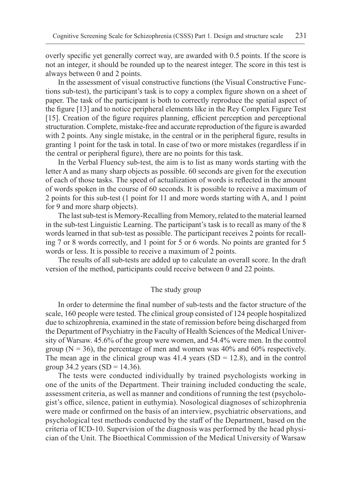overly specific yet generally correct way, are awarded with 0.5 points. If the score is not an integer, it should be rounded up to the nearest integer. The score in this test is always between 0 and 2 points.

In the assessment of visual constructive functions (the Visual Constructive Functions sub-test), the participant's task is to copy a complex figure shown on a sheet of paper. The task of the participant is both to correctly reproduce the spatial aspect of the figure [13] and to notice peripheral elements like in the Rey Complex Figure Test [15]. Creation of the figure requires planning, efficient perception and perceptional structuration. Complete, mistake-free and accurate reproduction of the figure is awarded with 2 points. Any single mistake, in the central or in the peripheral figure, results in granting 1 point for the task in total. In case of two or more mistakes (regardless if in the central or peripheral figure), there are no points for this task.

In the Verbal Fluency sub-test, the aim is to list as many words starting with the letter A and as many sharp objects as possible. 60 seconds are given for the execution of each of those tasks. The speed of actualization of words is reflected in the amount of words spoken in the course of 60 seconds. It is possible to receive a maximum of 2 points for this sub-test (1 point for 11 and more words starting with A, and 1 point for 9 and more sharp objects).

The last sub-test is Memory-Recalling from Memory, related to the material learned in the sub-test Linguistic Learning. The participant's task is to recall as many of the 8 words learned in that sub-test as possible. The participant receives 2 points for recalling 7 or 8 words correctly, and 1 point for 5 or 6 words. No points are granted for 5 words or less. It is possible to receive a maximum of 2 points.

The results of all sub-tests are added up to calculate an overall score. In the draft version of the method, participants could receive between 0 and 22 points.

#### The study group

In order to determine the final number of sub-tests and the factor structure of the scale, 160 people were tested. The clinical group consisted of 124 people hospitalized due to schizophrenia, examined in the state of remission before being discharged from the Department of Psychiatry in the Faculty of Health Sciences of the Medical University of Warsaw. 45.6% of the group were women, and 54.4% were men. In the control group ( $N = 36$ ), the percentage of men and women was 40% and 60% respectively. The mean age in the clinical group was  $41.4$  years (SD = 12.8), and in the control group 34.2 years  $(SD = 14.36)$ .

The tests were conducted individually by trained psychologists working in one of the units of the Department. Their training included conducting the scale, assessment criteria, as well as manner and conditions of running the test (psychologist's office, silence, patient in euthymia). Nosological diagnoses of schizophrenia were made or confirmed on the basis of an interview, psychiatric observations, and psychological test methods conducted by the staff of the Department, based on the criteria of ICD-10. Supervision of the diagnosis was performed by the head physician of the Unit. The Bioethical Commission of the Medical University of Warsaw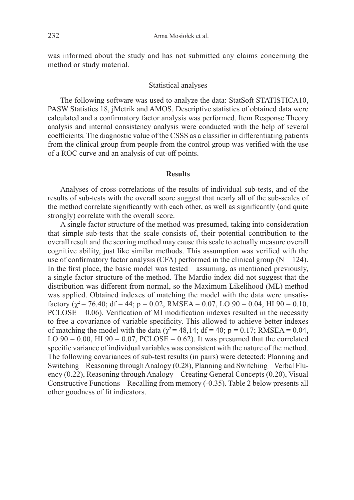was informed about the study and has not submitted any claims concerning the method or study material.

#### Statistical analyses

The following software was used to analyze the data: StatSoft STATISTICA10, PASW Statistics 18, jMetrik and AMOS. Descriptive statistics of obtained data were calculated and a confirmatory factor analysis was performed. Item Response Theory analysis and internal consistency analysis were conducted with the help of several coefficients. The diagnostic value of the CSSS as a classifier in differentiating patients from the clinical group from people from the control group was verified with the use of a ROC curve and an analysis of cut-off points.

#### **Results**

Analyses of cross-correlations of the results of individual sub-tests, and of the results of sub-tests with the overall score suggest that nearly all of the sub-scales of the method correlate significantly with each other, as well as significantly (and quite strongly) correlate with the overall score.

A single factor structure of the method was presumed, taking into consideration that simple sub-tests that the scale consists of, their potential contribution to the overall result and the scoring method may cause this scale to actually measure overall cognitive ability, just like similar methods. This assumption was verified with the use of confirmatory factor analysis (CFA) performed in the clinical group ( $N = 124$ ). In the first place, the basic model was tested – assuming, as mentioned previously, a single factor structure of the method. The Mardio index did not suggest that the distribution was different from normal, so the Maximum Likelihood (ML) method was applied. Obtained indexes of matching the model with the data were unsatisfactory ( $\chi^2$  = 76.40; df = 44; p = 0.02, RMSEA = 0.07, LO 90 = 0.04, HI 90 = 0.10,  $PCLOSE = 0.06$ . Verification of MI modification indexes resulted in the necessity to free a covariance of variable specificity. This allowed to achieve better indexes of matching the model with the data ( $\chi^2$  = 48,14; df = 40; p = 0.17; RMSEA = 0.04, LO  $90 = 0.00$ , HI  $90 = 0.07$ , PCLOSE = 0.62). It was presumed that the correlated specific variance of individual variables was consistent with the nature of the method. The following covariances of sub-test results (in pairs) were detected: Planning and Switching – Reasoning through Analogy (0.28), Planning and Switching – Verbal Fluency (0.22), Reasoning through Analogy – Creating General Concepts (0.20), Visual Constructive Functions – Recalling from memory (-0.35). Table 2 below presents all other goodness of fit indicators.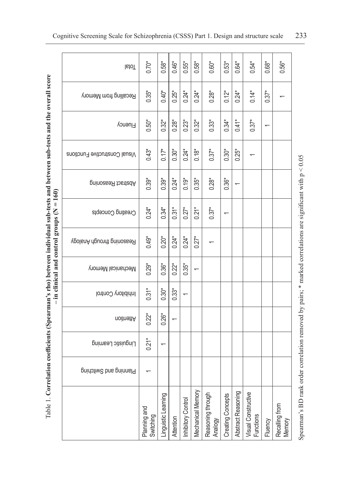|                                                                                                                             | <b>lstoT</b>                  | $0.70*$                   | $0.58*$            | $0.46*$          | $0.55*$            | $0.58*$           | $0.60*$                      | $0.53*$                  | $0.64*$                  | $0.54*$                          | $0.68*$        | $0.56*$                  |
|-----------------------------------------------------------------------------------------------------------------------------|-------------------------------|---------------------------|--------------------|------------------|--------------------|-------------------|------------------------------|--------------------------|--------------------------|----------------------------------|----------------|--------------------------|
|                                                                                                                             | Recalling from Memory         | $0.35*$                   | $0.40*$            | $0.25*$          | $0.24*$            | $0.24*$           | $0.28*$                      | $0.12*$                  | $0.24*$                  | $0.14*$                          | $0.37*$        |                          |
|                                                                                                                             | Fluency                       | $0.50*$                   | $0.32*$            | $0.28*$          | $0.23*$            | $0.32*$           | $0.33*$                      | $0.34*$                  | $0.41*$                  | $0.37*$                          | $\overline{ }$ |                          |
|                                                                                                                             | Visual Constructive Functions | $0.43*$                   | $0.17*$            | $0.30*$          | $0.24*$            | $0.18*$           | $0.37*$                      | $0.30*$                  | $0.25*$                  |                                  |                |                          |
|                                                                                                                             | poinoses Reasoning            | $0.39*$                   | $0.39*$            | $0.24*$          | $0.19*$            | $0.35*$           | $0.28*$                      | $0.36*$                  | $\overline{\phantom{0}}$ |                                  |                |                          |
| $-$ in clinical and control groups (N = 160)                                                                                | Creating Concepts             | $0.24*$                   | $0.34*$            | $0.31*$          | $0.27*$            | $0.2^{*}$         | $0.37*$                      |                          |                          |                                  |                |                          |
|                                                                                                                             | Reasoning through Analogy     | $0.49*$                   | $0.20*$            | $0.24*$          | $0.24*$            | $0.27*$           |                              |                          |                          |                                  |                |                          |
|                                                                                                                             | Mechanical Memory             | $0.29*$                   | $0.36*$            | $0.22*$          | $0.35*$            |                   |                              |                          |                          |                                  |                |                          |
|                                                                                                                             | Inhibitory Control            | $0.31*$                   | $0.30*$            | $0.33*$          |                    |                   |                              |                          |                          |                                  |                |                          |
|                                                                                                                             | noitnettA                     | $0.22*$                   | $0.26*$            |                  |                    |                   |                              |                          |                          |                                  |                |                          |
|                                                                                                                             | Linguistic Learning           | $0.21*$                   | ᡪ                  |                  |                    |                   |                              |                          |                          |                                  |                |                          |
|                                                                                                                             | Planing and Switching         |                           |                    |                  |                    |                   |                              |                          |                          |                                  |                |                          |
| Table 1. Correlation coefficients (Spearman's rho) between individual sub-tests and between sub-tests and the overall score |                               | Planning and<br>Switching | inguistic Learning | <b>Attention</b> | Inhibitory Control | Mechanical Memory | Reasoning through<br>Analogy | <b>Creating Concepts</b> | Abstract Reasoning       | Visual Constructive<br>Functions | Fluency        | Recalling from<br>Memory |

Spearman's BD rank order correlation removed by pairs;  $*$  marked correlations are significant with  $p < 0.05$ Spearman's BD rank order correlation removed by pairs; \* marked correlations are significant with p < 0.05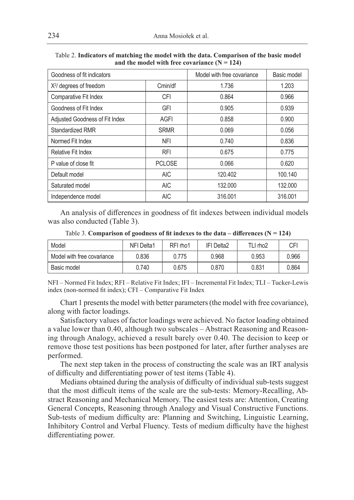| Goodness of fit indicators     | Model with free covariance | Basic model |         |
|--------------------------------|----------------------------|-------------|---------|
| $X2$ degrees of freedom        | Cmin/df                    | 1.736       | 1.203   |
| Comparative Fit Index          | <b>CFI</b>                 | 0.864       | 0.966   |
| Goodness of Fit Index          | GFI                        | 0.905       | 0.939   |
| Adjusted Goodness of Fit Index | <b>AGFI</b>                | 0.858       | 0.900   |
| Standardized RMR               | <b>SRMR</b>                | 0.069       | 0.056   |
| Normed Fit Index               | <b>NFI</b>                 | 0.740       | 0.836   |
| Relative Fit Index             | <b>RFI</b>                 | 0.675       | 0.775   |
| P value of close fit           | <b>PCLOSE</b>              | 0.066       | 0.620   |
| Default model                  | <b>AIC</b>                 | 120.402     | 100.140 |
| Saturated model                | <b>AIC</b>                 | 132.000     | 132.000 |
| Independence model             | <b>AIC</b>                 | 316.001     | 316.001 |

Table 2. **Indicators of matching the model with the data. Comparison of the basic model** and the model with free covariance  $(N = 124)$ 

An analysis of differences in goodness of fit indexes between individual models was also conducted (Table 3).

| Model                      | NFI Delta1 | RFI rho1 | IFI Delta2 | TLI rho2 | CFI   |
|----------------------------|------------|----------|------------|----------|-------|
| Model with free covariance | 0.836      | 0.775    | 0.968      | 0.953    | 0.966 |
| Basic model                | 0.740      | 0.675    | 0.870      | 0.831    | 0.864 |

Table 3. **Comparison of goodness of fit indexes to the data – differences (** $N = 124$ **)** 

NFI – Normed Fit Index; RFI – Relative Fit Index; IFI – Incremental Fit Index; TLI – Tucker-Lewis index (non-normed fit index); CFI – Comparative Fit Index

Chart 1 presents the model with better parameters (the model with free covariance), along with factor loadings.

Satisfactory values of factor loadings were achieved. No factor loading obtained a value lower than 0.40, although two subscales – Abstract Reasoning and Reasoning through Analogy, achieved a result barely over 0.40. The decision to keep or remove those test positions has been postponed for later, after further analyses are performed.

The next step taken in the process of constructing the scale was an IRT analysis of difficulty and differentiating power of test items (Table 4).

Medians obtained during the analysis of difficulty of individual sub-tests suggest that the most difficult items of the scale are the sub-tests: Memory-Recalling, Abstract Reasoning and Mechanical Memory. The easiest tests are: Attention, Creating General Concepts, Reasoning through Analogy and Visual Constructive Functions. Sub-tests of medium difficulty are: Planning and Switching, Linguistic Learning, Inhibitory Control and Verbal Fluency. Tests of medium difficulty have the highest differentiating power.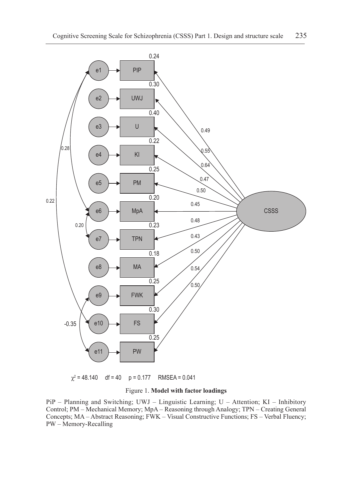

 $\chi^2$  = 48.140 df = 40 p = 0.177 RMSEA = 0.041

#### Figure 1. **Model with factor loadings**

PiP – Planning and Switching; UWJ – Linguistic Learning; U – Attention; KI – Inhibitory Control; PM – Mechanical Memory; MpA – Reasoning through Analogy; TPN – Creating General Concepts; MA – Abstract Reasoning; FWK – Visual Constructive Functions; FS – Verbal Fluency; PW – Memory-Recalling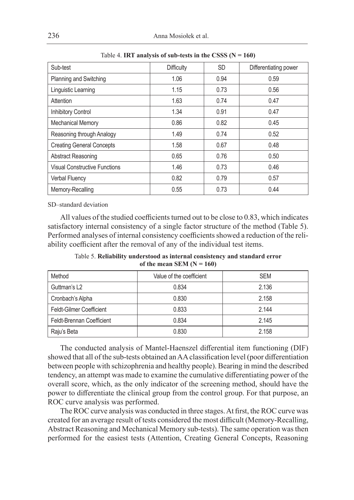| Sub-test                             | Difficulty | <b>SD</b> | Differentiating power |  |
|--------------------------------------|------------|-----------|-----------------------|--|
| Planning and Switching               | 1.06       | 0.94      | 0.59                  |  |
| Linguistic Learning                  | 1.15       | 0.73      | 0.56                  |  |
| Attention                            | 1.63       | 0.74      | 0.47                  |  |
| Inhibitory Control                   | 1.34       | 0.91      | 0.47                  |  |
| <b>Mechanical Memory</b>             | 0.86       | 0.82      | 0.45                  |  |
| Reasoning through Analogy            | 1.49       | 0.74      | 0.52                  |  |
| <b>Creating General Concepts</b>     | 1.58       | 0.67      | 0.48                  |  |
| Abstract Reasoning                   | 0.65       | 0.76      | 0.50                  |  |
| <b>Visual Constructive Functions</b> | 1.46       | 0.73      | 0.46                  |  |
| Verbal Fluency                       | 0.82       | 0.79      | 0.57                  |  |
| Memory-Recalling                     | 0.55       | 0.73      | 0.44                  |  |

Table 4. **IRT analysis of sub-tests in the CSSS (N = 160)**

SD–standard deviation

All values of the studied coefficients turned out to be close to 0.83, which indicates satisfactory internal consistency of a single factor structure of the method (Table 5). Performed analyses of internal consistency coefficients showed a reduction of the reliability coefficient after the removal of any of the individual test items.

Table 5. **Reliability understood as internal consistency and standard error** of the mean SEM  $(N = 160)$ 

| Method                          | Value of the coefficient | <b>SEM</b> |
|---------------------------------|--------------------------|------------|
| Guttman's L <sub>2</sub>        | 0.834                    | 2.136      |
| Cronbach's Alpha                | 0.830                    | 2.158      |
| <b>Feldt-Gilmer Coefficient</b> | 0.833                    | 2.144      |
| Feldt-Brennan Coefficient       | 0.834                    | 2.145      |
| Raju's Beta                     | 0.830                    | 2.158      |

The conducted analysis of Mantel-Haenszel differential item functioning (DIF) showed that all of the sub-tests obtained an AA classification level (poor differentiation between people with schizophrenia and healthy people). Bearing in mind the described tendency, an attempt was made to examine the cumulative differentiating power of the overall score, which, as the only indicator of the screening method, should have the power to differentiate the clinical group from the control group. For that purpose, an ROC curve analysis was performed.

The ROC curve analysis was conducted in three stages. At first, the ROC curve was created for an average result of tests considered the most difficult (Memory-Recalling, Abstract Reasoning and Mechanical Memory sub-tests). The same operation was then performed for the easiest tests (Attention, Creating General Concepts, Reasoning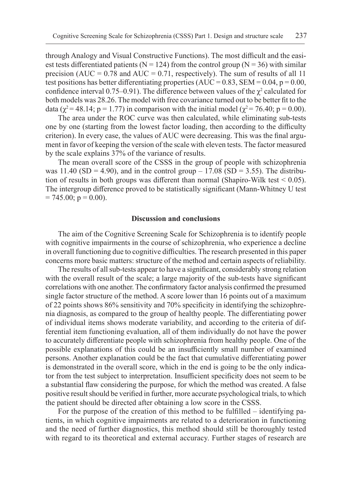through Analogy and Visual Constructive Functions). The most difficult and the easiest tests differentiated patients ( $N = 124$ ) from the control group ( $N = 36$ ) with similar precision (AUC =  $0.78$  and AUC =  $0.71$ , respectively). The sum of results of all 11 test positions has better differentiating properties (AUC =  $0.83$ , SEM =  $0.04$ , p =  $0.00$ , confidence interval 0.75–0.91). The difference between values of the  $\chi^2$  calculated for both models was 28.26. The model with free covariance turned out to be better fit to the data ( $\chi^2 = 48.14$ ; p = 1.77) in comparison with the initial model ( $\chi^2 = 76.40$ ; p = 0.00).

The area under the ROC curve was then calculated, while eliminating sub-tests one by one (starting from the lowest factor loading, then according to the difficulty criterion). In every case, the values of AUC were decreasing. This was the final argument in favor of keeping the version of the scale with eleven tests. The factor measured by the scale explains 37% of the variance of results.

The mean overall score of the CSSS in the group of people with schizophrenia was 11.40 (SD = 4.90), and in the control group – 17.08 (SD = 3.55). The distribution of results in both groups was different than normal (Shapiro-Wilk test < 0.05). The intergroup difference proved to be statistically significant (Mann-Whitney U test  $= 745.00$ ; p  $= 0.00$ ).

## **Discussion and conclusions**

The aim of the Cognitive Screening Scale for Schizophrenia is to identify people with cognitive impairments in the course of schizophrenia, who experience a decline in overall functioning due to cognitive difficulties. The research presented in this paper concerns more basic matters: structure of the method and certain aspects of reliability.

The results of all sub-tests appear to have a significant, considerably strong relation with the overall result of the scale; a large majority of the sub-tests have significant correlations with one another. The confirmatory factor analysis confirmed the presumed single factor structure of the method. A score lower than 16 points out of a maximum of 22 points shows 86% sensitivity and 70% specificity in identifying the schizophrenia diagnosis, as compared to the group of healthy people. The differentiating power of individual items shows moderate variability, and according to the criteria of differential item functioning evaluation, all of them individually do not have the power to accurately differentiate people with schizophrenia from healthy people. One of the possible explanations of this could be an insufficiently small number of examined persons. Another explanation could be the fact that cumulative differentiating power is demonstrated in the overall score, which in the end is going to be the only indicator from the test subject to interpretation. Insufficient specificity does not seem to be a substantial flaw considering the purpose, for which the method was created. A false positive result should be verified in further, more accurate psychological trials, to which the patient should be directed after obtaining a low score in the CSSS.

For the purpose of the creation of this method to be fulfilled – identifying patients, in which cognitive impairments are related to a deterioration in functioning and the need of further diagnostics, this method should still be thoroughly tested with regard to its theoretical and external accuracy. Further stages of research are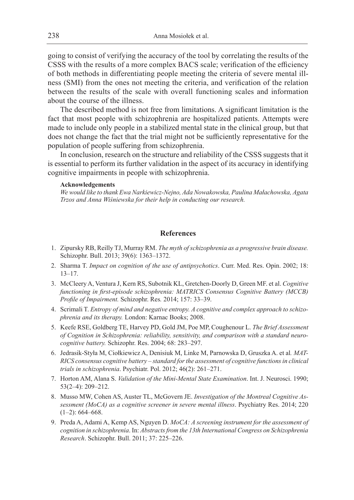going to consist of verifying the accuracy of the tool by correlating the results of the CSSS with the results of a more complex BACS scale; verification of the efficiency of both methods in differentiating people meeting the criteria of severe mental illness (SMI) from the ones not meeting the criteria, and verification of the relation between the results of the scale with overall functioning scales and information about the course of the illness.

The described method is not free from limitations. A significant limitation is the fact that most people with schizophrenia are hospitalized patients. Attempts were made to include only people in a stabilized mental state in the clinical group, but that does not change the fact that the trial might not be sufficiently representative for the population of people suffering from schizophrenia.

In conclusion, research on the structure and reliability of the CSSS suggests that it is essential to perform its further validation in the aspect of its accuracy in identifying cognitive impairments in people with schizophrenia.

#### **Acknowledgements**

*We would like to thank Ewa Narkiewicz-Nejno, Ada Nowakowska, Paulina Małachowska, Agata Trzos and Anna Wiśniewska for their help in conducting our research.*

## **References**

- 1. Zipursky RB, Reilly TJ, Murray RM. *The myth of schizophrenia as a progressive brain disease.*  Schizophr. Bull. 2013; 39(6): 1363–1372.
- 2. Sharma T. *Impact on cognition of the use of antipsychotics*. Curr. Med. Res. Opin. 2002; 18: 13–17.
- 3. McCleery A, Ventura J, Kern RS, Subotnik KL, Gretchen-Doorly D, Green MF. et al. *Cognitive functioning in first-episode schizophrenia: MATRICS Consensus Cognitive Battery (MCCB) Profile of Impairment.* Schizophr. Res*.* 2014; 157: 33–39.
- 4. Scrimali T. *Entropy of mind and negative entropy. A cognitive and complex approach to schizophrenia and its therapy.* London: Karnac Books; 2008.
- 5. Keefe RSE, Goldberg TE, Harvey PD, Gold JM, Poe MP, Coughenour L. *The Brief Assessment of Cognition in Schizophrenia: reliability, sensitivity, and comparison with a standard neurocognitive battery.* Schizophr. Res. 2004; 68: 283–297.
- 6. Jedrasik-Styła M, Ciołkiewicz A, Denisiuk M, Linke M, Parnowska D, Gruszka A. et al*. MAT-RICS consensus cognitive battery – standard for the assessment of cognitive functions in clinical trials in schizophrenia*. Psychiatr. Pol. 2012; 46(2): 261–271.
- 7. Horton AM, Alana S. *Validation of the Mini-Mental State Examination*. Int. J. Neurosci. 1990; 53(2–4): 209–212.
- 8. Musso MW, Cohen AS, Auster TL, McGovern JE. *Investigation of the Montreal Cognitive Assessment (MoCA) as a cognitive screener in severe mental illness*. Psychiatry Res. 2014; 220  $(1-2): 664-668.$
- 9. Preda A, Adami A, Kemp AS, Nguyen D. *MoCA: A screening instrument for the assessment of cognition in schizophrenia*. In: *Abstracts from the 13th International Congress on Schizophrenia Research*. Schizophr. Bull. 2011; 37: 225–226.